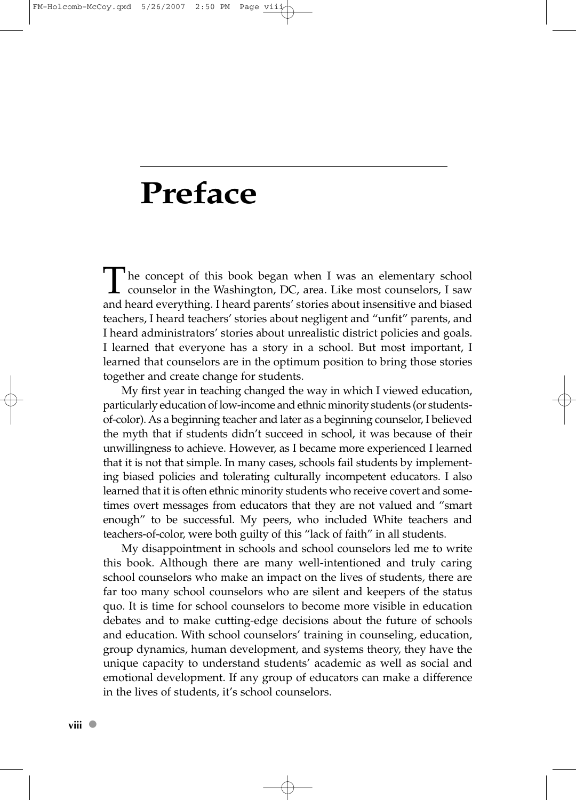## **Preface**

The concept of this book began when I was an elementary school  $\perp$  counselor in the Washington, DC, area. Like most counselors, I saw and heard everything. I heard parents' stories about insensitive and biased teachers, I heard teachers' stories about negligent and "unfit" parents, and I heard administrators' stories about unrealistic district policies and goals. I learned that everyone has a story in a school. But most important, I learned that counselors are in the optimum position to bring those stories together and create change for students.

My first year in teaching changed the way in which I viewed education, particularly education of low-income and ethnic minority students (or studentsof-color). As a beginning teacher and later as a beginning counselor, I believed the myth that if students didn't succeed in school, it was because of their unwillingness to achieve. However, as I became more experienced I learned that it is not that simple. In many cases, schools fail students by implementing biased policies and tolerating culturally incompetent educators. I also learned that it is often ethnic minority students who receive covert and sometimes overt messages from educators that they are not valued and "smart enough" to be successful. My peers, who included White teachers and teachers-of-color, were both guilty of this "lack of faith" in all students.

My disappointment in schools and school counselors led me to write this book. Although there are many well-intentioned and truly caring school counselors who make an impact on the lives of students, there are far too many school counselors who are silent and keepers of the status quo. It is time for school counselors to become more visible in education debates and to make cutting-edge decisions about the future of schools and education. With school counselors' training in counseling, education, group dynamics, human development, and systems theory, they have the unique capacity to understand students' academic as well as social and emotional development. If any group of educators can make a difference in the lives of students, it's school counselors.